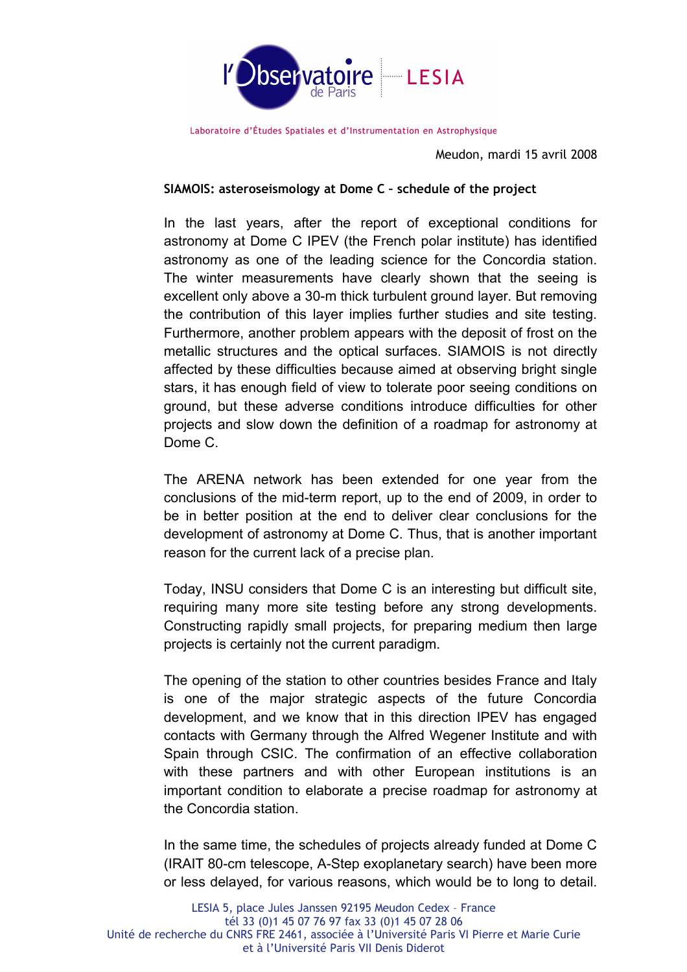

Laboratoire d'Études Spatiales et d'Instrumentation en Astrophysique

Meudon, mardi 15 avril 2008

## **SIAMOIS: asteroseismology at Dome C – schedule of the project**

In the last years, after the report of exceptional conditions for astronomy at Dome C IPEV (the French polar institute) has identified astronomy as one of the leading science for the Concordia station. The winter measurements have clearly shown that the seeing is excellent only above a 30-m thick turbulent ground layer. But removing the contribution of this layer implies further studies and site testing. Furthermore, another problem appears with the deposit of frost on the metallic structures and the optical surfaces. SIAMOIS is not directly affected by these difficulties because aimed at observing bright single stars, it has enough field of view to tolerate poor seeing conditions on ground, but these adverse conditions introduce difficulties for other projects and slow down the definition of a roadmap for astronomy at Dome C.

The ARENA network has been extended for one year from the conclusions of the mid-term report, up to the end of 2009, in order to be in better position at the end to deliver clear conclusions for the development of astronomy at Dome C. Thus, that is another important reason for the current lack of a precise plan.

Today, INSU considers that Dome C is an interesting but difficult site, requiring many more site testing before any strong developments. Constructing rapidly small projects, for preparing medium then large projects is certainly not the current paradigm.

The opening of the station to other countries besides France and Italy is one of the major strategic aspects of the future Concordia development, and we know that in this direction IPEV has engaged contacts with Germany through the Alfred Wegener Institute and with Spain through CSIC. The confirmation of an effective collaboration with these partners and with other European institutions is an important condition to elaborate a precise roadmap for astronomy at the Concordia station.

In the same time, the schedules of projects already funded at Dome C (IRAIT 80-cm telescope, A-Step exoplanetary search) have been more or less delayed, for various reasons, which would be to long to detail.